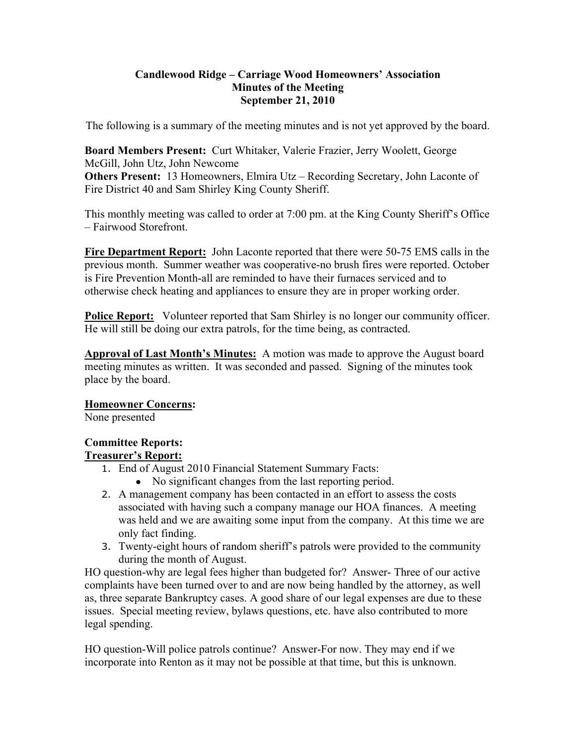### **Candlewood Ridge – Carriage Wood Homeowners' Association Minutes of the Meeting September 21, 2010**

The following is a summary of the meeting minutes and is not yet approved by the board.

**Board Members Present:** Curt Whitaker, Valerie Frazier, Jerry Woolett, George McGill, John Utz, John Newcome **Others Present:** 13 Homeowners, Elmira Utz – Recording Secretary, John Laconte of

Fire District 40 and Sam Shirley King County Sheriff.

This monthly meeting was called to order at 7:00 pm. at the King County Sheriff's Office – Fairwood Storefront.

**Fire Department Report:** John Laconte reported that there were 50-75 EMS calls in the previous month. Summer weather was cooperative-no brush fires were reported. October is Fire Prevention Month-all are reminded to have their furnaces serviced and to otherwise check heating and appliances to ensure they are in proper working order.

**Police Report:** Volunteer reported that Sam Shirley is no longer our community officer. He will still be doing our extra patrols, for the time being, as contracted.

**Approval of Last Month's Minutes:** A motion was made to approve the August board meeting minutes as written. It was seconded and passed. Signing of the minutes took place by the board.

## **Homeowner Concerns:**

None presented

# **Committee Reports:**

## **Treasurer's Report:**

- 1. End of August 2010 Financial Statement Summary Facts:
	- No significant changes from the last reporting period.
- 2. A management company has been contacted in an effort to assess the costs associated with having such a company manage our HOA finances. A meeting was held and we are awaiting some input from the company. At this time we are only fact finding.
- 3. Twenty-eight hours of random sheriff's patrols were provided to the community during the month of August.

HO question-why are legal fees higher than budgeted for? Answer- Three of our active complaints have been turned over to and are now being handled by the attorney, as well as, three separate Bankruptcy cases. A good share of our legal expenses are due to these issues. Special meeting review, bylaws questions, etc. have also contributed to more legal spending.

HO question-Will police patrols continue? Answer-For now. They may end if we incorporate into Renton as it may not be possible at that time, but this is unknown.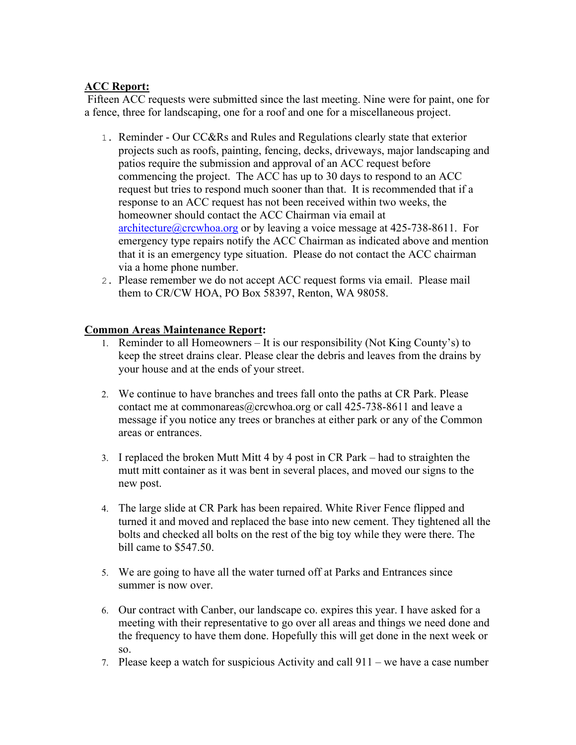## **ACC Report:**

 Fifteen ACC requests were submitted since the last meeting. Nine were for paint, one for a fence, three for landscaping, one for a roof and one for a miscellaneous project.

- 1. Reminder Our CC&Rs and Rules and Regulations clearly state that exterior projects such as roofs, painting, fencing, decks, driveways, major landscaping and patios require the submission and approval of an ACC request before commencing the project. The ACC has up to 30 days to respond to an ACC request but tries to respond much sooner than that. It is recommended that if a response to an ACC request has not been received within two weeks, the homeowner should contact the ACC Chairman via email at architecture@crcwhoa.org or by leaving a voice message at  $425-738-8611$ . For emergency type repairs notify the ACC Chairman as indicated above and mention that it is an emergency type situation. Please do not contact the ACC chairman via a home phone number.
- 2. Please remember we do not accept ACC request forms via email. Please mail them to CR/CW HOA, PO Box 58397, Renton, WA 98058.

#### **Common Areas Maintenance Report:**

- 1. Reminder to all Homeowners It is our responsibility (Not King County's) to keep the street drains clear. Please clear the debris and leaves from the drains by your house and at the ends of your street.
- 2. We continue to have branches and trees fall onto the paths at CR Park. Please contact me at commonareas  $@$ crcwhoa.org or call 425-738-8611 and leave a message if you notice any trees or branches at either park or any of the Common areas or entrances.
- 3. I replaced the broken Mutt Mitt 4 by 4 post in CR Park had to straighten the mutt mitt container as it was bent in several places, and moved our signs to the new post.
- 4. The large slide at CR Park has been repaired. White River Fence flipped and turned it and moved and replaced the base into new cement. They tightened all the bolts and checked all bolts on the rest of the big toy while they were there. The bill came to \$547.50.
- 5. We are going to have all the water turned off at Parks and Entrances since summer is now over.
- 6. Our contract with Canber, our landscape co. expires this year. I have asked for a meeting with their representative to go over all areas and things we need done and the frequency to have them done. Hopefully this will get done in the next week or so.
- 7. Please keep a watch for suspicious Activity and call 911 we have a case number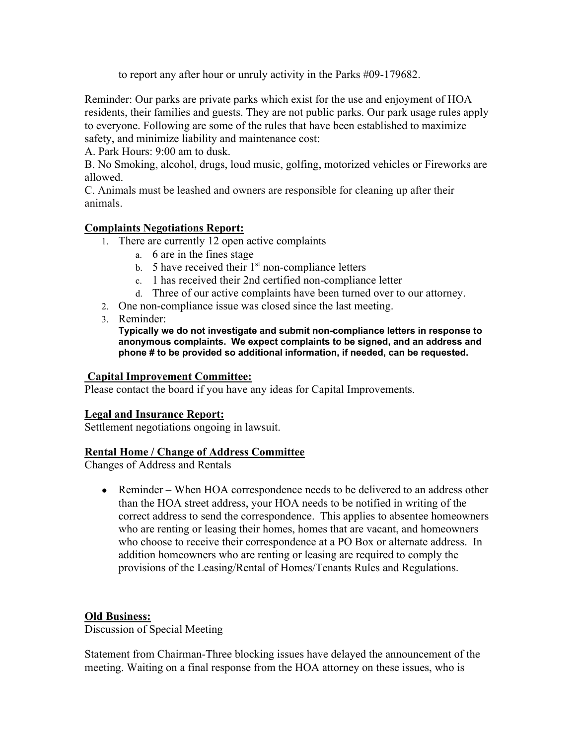to report any after hour or unruly activity in the Parks #09-179682.

Reminder: Our parks are private parks which exist for the use and enjoyment of HOA residents, their families and guests. They are not public parks. Our park usage rules apply to everyone. Following are some of the rules that have been established to maximize safety, and minimize liability and maintenance cost:

A. Park Hours: 9:00 am to dusk.

B. No Smoking, alcohol, drugs, loud music, golfing, motorized vehicles or Fireworks are allowed.

C. Animals must be leashed and owners are responsible for cleaning up after their animals.

## **Complaints Negotiations Report:**

- 1. There are currently 12 open active complaints
	- a. 6 are in the fines stage
	- b. 5 have received their  $1<sup>st</sup>$  non-compliance letters
	- c. 1 has received their 2nd certified non-compliance letter
	- d. Three of our active complaints have been turned over to our attorney.
- 2. One non-compliance issue was closed since the last meeting.
- 3. Reminder:

**Typically we do not investigate and submit non-compliance letters in response to anonymous complaints. We expect complaints to be signed, and an address and phone # to be provided so additional information, if needed, can be requested.** 

#### **Capital Improvement Committee:**

Please contact the board if you have any ideas for Capital Improvements.

## **Legal and Insurance Report:**

Settlement negotiations ongoing in lawsuit.

#### **Rental Home / Change of Address Committee**

Changes of Address and Rentals

• Reminder – When HOA correspondence needs to be delivered to an address other than the HOA street address, your HOA needs to be notified in writing of the correct address to send the correspondence. This applies to absentee homeowners who are renting or leasing their homes, homes that are vacant, and homeowners who choose to receive their correspondence at a PO Box or alternate address. In addition homeowners who are renting or leasing are required to comply the provisions of the Leasing/Rental of Homes/Tenants Rules and Regulations.

## **Old Business:**

Discussion of Special Meeting

Statement from Chairman-Three blocking issues have delayed the announcement of the meeting. Waiting on a final response from the HOA attorney on these issues, who is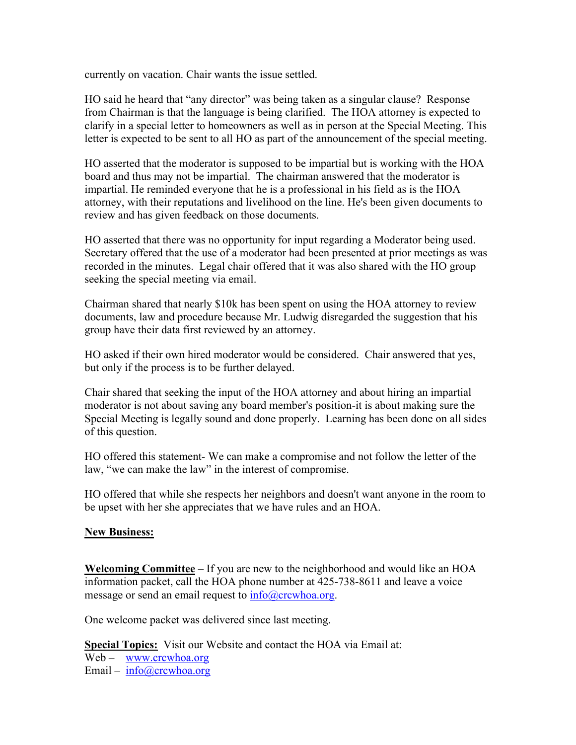currently on vacation. Chair wants the issue settled.

HO said he heard that "any director" was being taken as a singular clause? Response from Chairman is that the language is being clarified. The HOA attorney is expected to clarify in a special letter to homeowners as well as in person at the Special Meeting. This letter is expected to be sent to all HO as part of the announcement of the special meeting.

HO asserted that the moderator is supposed to be impartial but is working with the HOA board and thus may not be impartial. The chairman answered that the moderator is impartial. He reminded everyone that he is a professional in his field as is the HOA attorney, with their reputations and livelihood on the line. He's been given documents to review and has given feedback on those documents.

HO asserted that there was no opportunity for input regarding a Moderator being used. Secretary offered that the use of a moderator had been presented at prior meetings as was recorded in the minutes. Legal chair offered that it was also shared with the HO group seeking the special meeting via email.

Chairman shared that nearly \$10k has been spent on using the HOA attorney to review documents, law and procedure because Mr. Ludwig disregarded the suggestion that his group have their data first reviewed by an attorney.

HO asked if their own hired moderator would be considered. Chair answered that yes, but only if the process is to be further delayed.

Chair shared that seeking the input of the HOA attorney and about hiring an impartial moderator is not about saving any board member's position-it is about making sure the Special Meeting is legally sound and done properly. Learning has been done on all sides of this question.

HO offered this statement- We can make a compromise and not follow the letter of the law, "we can make the law" in the interest of compromise.

HO offered that while she respects her neighbors and doesn't want anyone in the room to be upset with her she appreciates that we have rules and an HOA.

#### **New Business:**

**Welcoming Committee** – If you are new to the neighborhood and would like an HOA information packet, call the HOA phone number at 425-738-8611 and leave a voice message or send an email request to  $info@crcwhoa.org$ .

One welcome packet was delivered since last meeting.

**Special Topics:** Visit our Website and contact the HOA via Email at: Web – www.crcwhoa.org Email – info@crcwhoa.org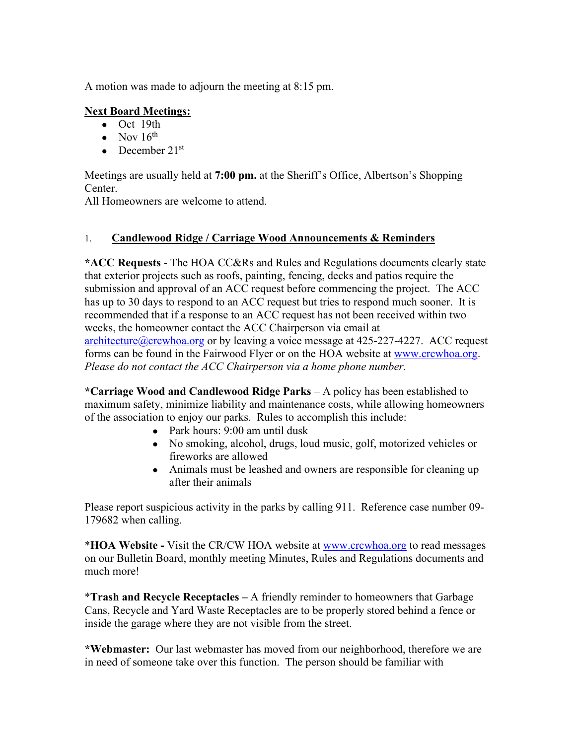A motion was made to adjourn the meeting at 8:15 pm.

## **Next Board Meetings:**

- Oct 19th
- Nov  $16^{th}$
- December  $21^{st}$

Meetings are usually held at **7:00 pm.** at the Sheriff's Office, Albertson's Shopping Center.

All Homeowners are welcome to attend.

## 1. **Candlewood Ridge / Carriage Wood Announcements & Reminders**

**\*ACC Requests** - The HOA CC&Rs and Rules and Regulations documents clearly state that exterior projects such as roofs, painting, fencing, decks and patios require the submission and approval of an ACC request before commencing the project. The ACC has up to 30 days to respond to an ACC request but tries to respond much sooner. It is recommended that if a response to an ACC request has not been received within two weeks, the homeowner contact the ACC Chairperson via email at architecture@crcwhoa.org or by leaving a voice message at 425-227-4227. ACC request

forms can be found in the Fairwood Flyer or on the HOA website at www.crcwhoa.org. *Please do not contact the ACC Chairperson via a home phone number.*

**\*Carriage Wood and Candlewood Ridge Parks** – A policy has been established to maximum safety, minimize liability and maintenance costs, while allowing homeowners of the association to enjoy our parks. Rules to accomplish this include:

- Park hours: 9:00 am until dusk
- No smoking, alcohol, drugs, loud music, golf, motorized vehicles or fireworks are allowed
- Animals must be leashed and owners are responsible for cleaning up after their animals

Please report suspicious activity in the parks by calling 911. Reference case number 09- 179682 when calling.

\***HOA Website -** Visit the CR/CW HOA website at www.crcwhoa.org to read messages on our Bulletin Board, monthly meeting Minutes, Rules and Regulations documents and much more!

\***Trash and Recycle Receptacles –** A friendly reminder to homeowners that Garbage Cans, Recycle and Yard Waste Receptacles are to be properly stored behind a fence or inside the garage where they are not visible from the street.

**\*Webmaster:** Our last webmaster has moved from our neighborhood, therefore we are in need of someone take over this function. The person should be familiar with